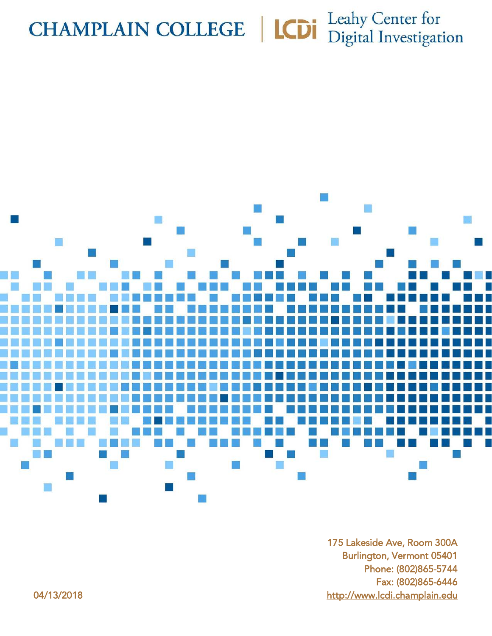## **CHAMPLAIN COLLEGE** | **LCDI** Leahy Center for



 175 Lakeside Ave, Room 300A Burlington, Vermont 05401 Phone: (802)865-5744 Fax: (802)865-6446  [http://www.lcdi.champlain.edu](http://www.lcdi.champlain.edu/)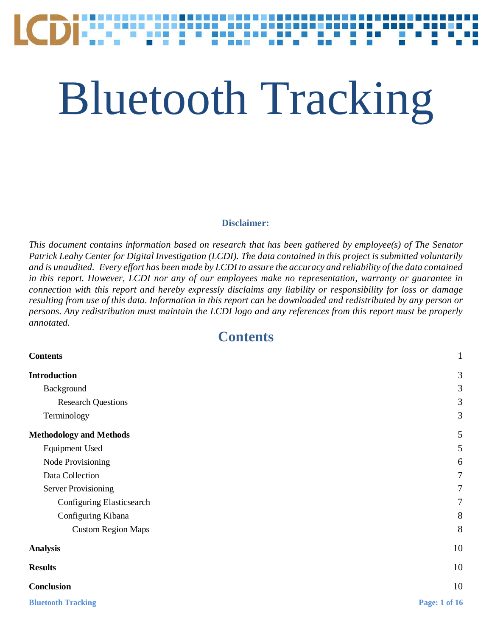# Bluetooth Tracking

#### **Disclaimer:**

*This document contains information based on research that has been gathered by employee(s) of The Senator Patrick Leahy Center for Digital Investigation (LCDI). The data contained in this project is submitted voluntarily and is unaudited. Every effort has been made by LCDI to assure the accuracy and reliability of the data contained in this report. However, LCDI nor any of our employees make no representation, warranty or guarantee in connection with this report and hereby expressly disclaims any liability or responsibility for loss or damage resulting from use of this data. Information in this report can be downloaded and redistributed by any person or persons. Any redistribution must maintain the LCDI logo and any references from this report must be properly annotated.*

#### **Contents**

<span id="page-1-0"></span>

| <b>Contents</b>                | $\mathbf{1}$         |
|--------------------------------|----------------------|
| <b>Introduction</b>            | 3                    |
| Background                     | 3                    |
| <b>Research Questions</b>      | 3                    |
| Terminology                    | 3                    |
| <b>Methodology and Methods</b> | 5                    |
| <b>Equipment Used</b>          | 5                    |
| Node Provisioning              | 6                    |
| Data Collection                | 7                    |
| <b>Server Provisioning</b>     | 7                    |
| Configuring Elasticsearch      | 7                    |
| Configuring Kibana             | 8                    |
| <b>Custom Region Maps</b>      | 8                    |
| <b>Analysis</b>                | 10                   |
| <b>Results</b>                 | 10                   |
| Conclusion                     | 10                   |
| <b>Bluetooth Tracking</b>      | <b>Page: 1 of 16</b> |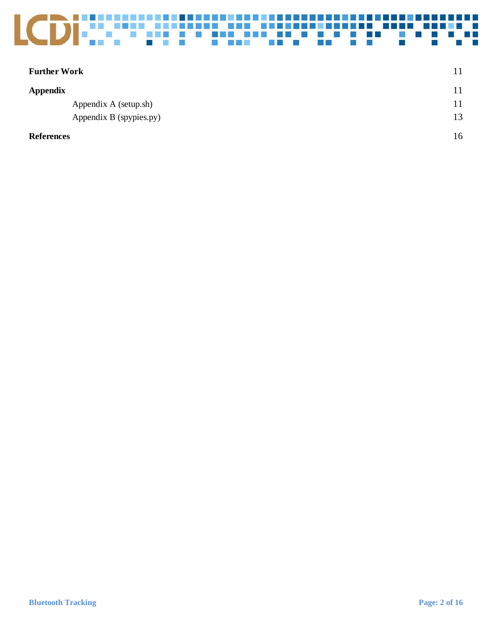

| <b>Further Work</b>     | 11 |
|-------------------------|----|
| <b>Appendix</b>         | 11 |
| Appendix A (setup.sh)   | 11 |
| Appendix B (spypies.py) | 13 |
| <b>References</b>       | 16 |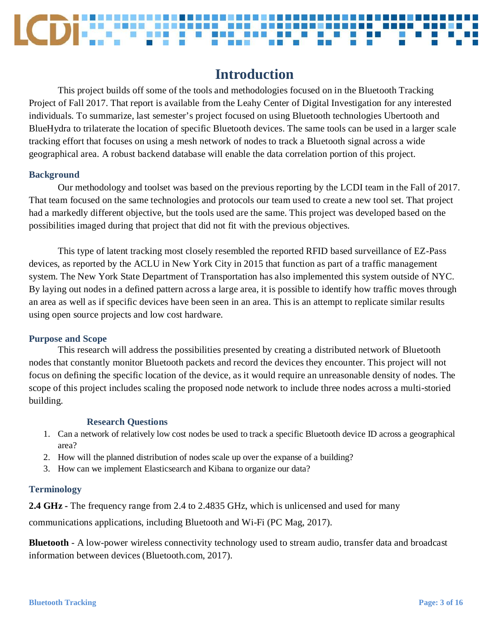

#### **Introduction**

<span id="page-3-0"></span>This project builds off some of the tools and methodologies focused on in the Bluetooth Tracking Project of Fall 2017. That report is available from the Leahy Center of Digital Investigation for any interested individuals. To summarize, last semester's project focused on using Bluetooth technologies Ubertooth and BlueHydra to trilaterate the location of specific Bluetooth devices. The same tools can be used in a larger scale tracking effort that focuses on using a mesh network of nodes to track a Bluetooth signal across a wide geographical area. A robust backend database will enable the data correlation portion of this project.

#### <span id="page-3-1"></span>**Background**

Our methodology and toolset was based on the previous reporting by the LCDI team in the Fall of 2017. That team focused on the same technologies and protocols our team used to create a new tool set. That project had a markedly different objective, but the tools used are the same. This project was developed based on the possibilities imaged during that project that did not fit with the previous objectives.

This type of latent tracking most closely resembled the reported RFID based surveillance of EZ-Pass devices, as reported by the ACLU in New York City in 2015 that function as part of a traffic management system. The New York State Department of Transportation has also implemented this system outside of NYC. By laying out nodes in a defined pattern across a large area, it is possible to identify how traffic moves through an area as well as if specific devices have been seen in an area. This is an attempt to replicate similar results using open source projects and low cost hardware.

#### **Purpose and Scope**

This research will address the possibilities presented by creating a distributed network of Bluetooth nodes that constantly monitor Bluetooth packets and record the devices they encounter. This project will not focus on defining the specific location of the device, as it would require an unreasonable density of nodes. The scope of this project includes scaling the proposed node network to include three nodes across a multi-storied building.

#### **Research Questions**

- <span id="page-3-2"></span>1. Can a network of relatively low cost nodes be used to track a specific Bluetooth device ID across a geographical area?
- 2. How will the planned distribution of nodes scale up over the expanse of a building?
- 3. How can we implement Elasticsearch and Kibana to organize our data?

#### <span id="page-3-3"></span>**Terminology**

**2.4 GHz -** The frequency range from 2.4 to 2.4835 GHz, which is unlicensed and used for many

communications applications, including Bluetooth and Wi-Fi (PC Mag, 2017).

**Bluetooth** - A low-power wireless connectivity technology used to stream audio, transfer data and broadcast information between devices (Bluetooth.com, 2017).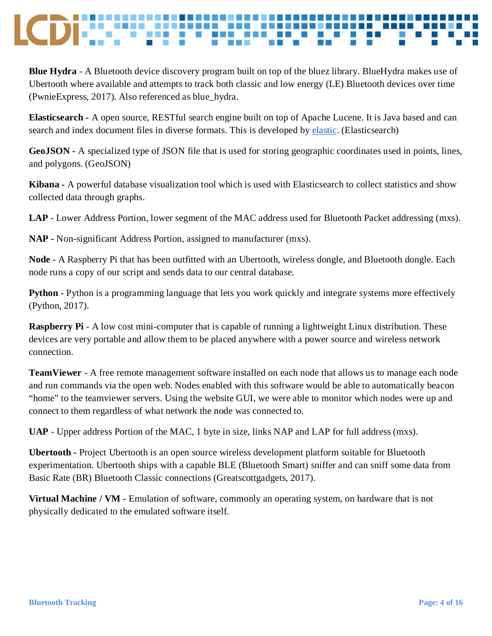**Blue Hydra** - A Bluetooth device discovery program built on top of the bluez library. BlueHydra makes use of Ubertooth where available and attempts to track both classic and low energy (LE) Bluetooth devices over time (PwnieExpress, 2017). Also referenced as blue\_hydra.

**Elasticsearch -** A open source, RESTful search engine built on top of Apache Lucene. It is Java based and can search and index document files in diverse formats. This is developed by [elastic.](https://www.elastic.co/) (Elasticsearch)

**GeoJSON -** A specialized type of JSON file that is used for storing geographic coordinates used in points, lines, and polygons. (GeoJSON)

**Kibana -** A powerful database visualization tool which is used with Elasticsearch to collect statistics and show collected data through graphs.

**LAP** - Lower Address Portion, lower segment of the MAC address used for Bluetooth Packet addressing (mxs).

**NAP -** Non-significant Address Portion, assigned to manufacturer (mxs).

**Node** - A Raspberry Pi that has been outfitted with an Ubertooth, wireless dongle, and Bluetooth dongle. Each node runs a copy of our script and sends data to our central database.

**Python** - Python is a programming language that lets you work quickly and integrate systems more effectively (Python, 2017).

**Raspberry Pi** - A low cost mini-computer that is capable of running a lightweight Linux distribution. These devices are very portable and allow them to be placed anywhere with a power source and wireless network connection.

**TeamViewer** - A free remote management software installed on each node that allows us to manage each node and run commands via the open web. Nodes enabled with this software would be able to automatically beacon "home" to the teamviewer servers. Using the website GUI, we were able to monitor which nodes were up and connect to them regardless of what network the node was connected to.

**UAP** - Upper address Portion of the MAC, 1 byte in size, links NAP and LAP for full address (mxs).

**Ubertooth -** Project Ubertooth is an open source wireless development platform suitable for Bluetooth experimentation. Ubertooth ships with a capable BLE (Bluetooth Smart) sniffer and can sniff some data from Basic Rate (BR) Bluetooth Classic connections (Greatscottgadgets, 2017).

**Virtual Machine / VM -** Emulation of software, commonly an operating system, on hardware that is not physically dedicated to the emulated software itself.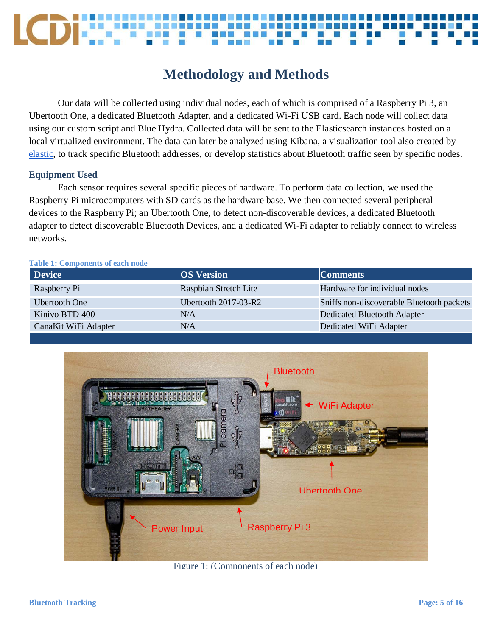

### **Methodology and Methods**

<span id="page-5-0"></span>Our data will be collected using individual nodes, each of which is comprised of a Raspberry Pi 3, an Ubertooth One, a dedicated Bluetooth Adapter, and a dedicated Wi-Fi USB card. Each node will collect data using our custom script and Blue Hydra. Collected data will be sent to the Elasticsearch instances hosted on a local virtualized environment. The data can later be analyzed using Kibana, a visualization tool also created by [elastic,](https://www.elastic.co/) to track specific Bluetooth addresses, or develop statistics about Bluetooth traffic seen by specific nodes.

#### <span id="page-5-1"></span>**Equipment Used**

Each sensor requires several specific pieces of hardware. To perform data collection, we used the Raspberry Pi microcomputers with SD cards as the hardware base. We then connected several peripheral devices to the Raspberry Pi; an Ubertooth One, to detect non-discoverable devices, a dedicated Bluetooth adapter to detect discoverable Bluetooth Devices, and a dedicated Wi-Fi adapter to reliably connect to wireless networks.

#### **Table 1: Components of each node**

| <b>Device</b>        | <b>OS Version</b>     | <b>Comments</b>                           |
|----------------------|-----------------------|-------------------------------------------|
| Raspberry Pi         | Raspbian Stretch Lite | Hardware for individual nodes             |
| <b>Ubertooth One</b> | Ubertooth 2017-03-R2  | Sniffs non-discoverable Bluetooth packets |
| Kinivo BTD-400       | N/A                   | Dedicated Bluetooth Adapter               |
| CanaKit WiFi Adapter | N/A                   | Dedicated WiFi Adapter                    |



Figure 1: (Components of each node)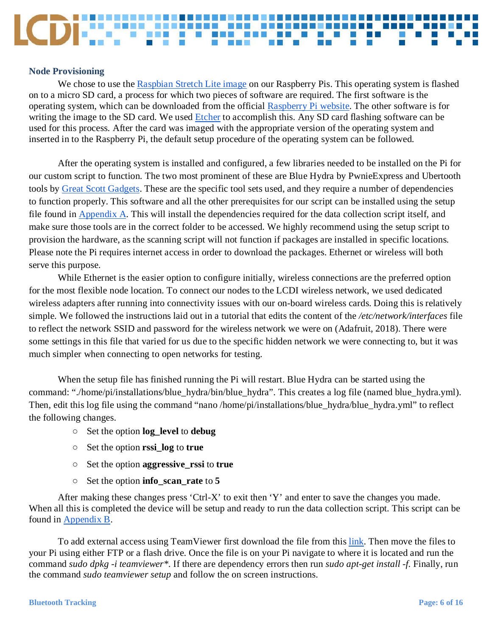#### <span id="page-6-0"></span>**Node Provisioning**

We chose to use the [Raspbian Stretch Lite image](https://www.raspberrypi.org/downloads/raspbian/) on our Raspberry Pis. This operating system is flashed on to a micro SD card, a process for which two pieces of software are required. The first software is the operating system, which can be downloaded from the official [Raspberry Pi website.](https://www.raspberrypi.org/downloads/raspbian/) The other software is for writing the image to the SD card. We used [Etcher](https://etcher.io/) to accomplish this. Any SD card flashing software can be used for this process. After the card was imaged with the appropriate version of the operating system and inserted in to the Raspberry Pi, the default setup procedure of the operating system can be followed.

After the operating system is installed and configured, a few libraries needed to be installed on the Pi for our custom script to function. The two most prominent of these are Blue Hydra by PwnieExpress and Ubertooth tools by [Great Scott Gadgets.](https://greatscottgadgets.com/) These are the specific tool sets used, and they require a number of dependencies to function properly. This software and all the other prerequisites for our script can be installed using the setup file found in Appendix A. This will install the dependencies required for the data collection script itself, and make sure those tools are in the correct folder to be accessed. We highly recommend using the setup script to provision the hardware, as the scanning script will not function if packages are installed in specific locations. Please note the Pi requires internet access in order to download the packages. Ethernet or wireless will both serve this purpose.

While Ethernet is the easier option to configure initially, wireless connections are the preferred option for the most flexible node location. To connect our nodes to the LCDI wireless network, we used dedicated wireless adapters after running into connectivity issues with our on-board wireless cards. Doing this is relatively simple. We followed the instructions laid out in a tutorial that edits the content of the */etc/network/interfaces* file to reflect the network SSID and password for the wireless network we were on (Adafruit, 2018). There were some settings in this file that varied for us due to the specific hidden network we were connecting to, but it was much simpler when connecting to open networks for testing.

When the setup file has finished running the Pi will restart. Blue Hydra can be started using the command: "./home/pi/installations/blue\_hydra/bin/blue\_hydra". This creates a log file (named blue\_hydra.yml). Then, edit this log file using the command "nano /home/pi/installations/blue\_hydra/blue\_hydra.yml" to reflect the following changes.

- Set the option **log\_level** to **debug**
- Set the option **rssi\_log** to **true**
- Set the option **aggressive\_rssi** to **true**
- Set the option **info\_scan\_rate** to **5**

After making these changes press 'Ctrl-X' to exit then 'Y' and enter to save the changes you made. When all this is completed the device will be setup and ready to run the data collection script. This script can be found in Appendix B.

To add external access using TeamViewer first download the file from this [link.](https://www.teamviewer.com/en/download/linux/) Then move the files to your Pi using either FTP or a flash drive. Once the file is on your Pi navigate to where it is located and run the command *sudo dpkg -i teamviewer\*.* If there are dependency errors then run *sudo apt-get install -f*. Finally, run the command *sudo teamviewer setup* and follow the on screen instructions.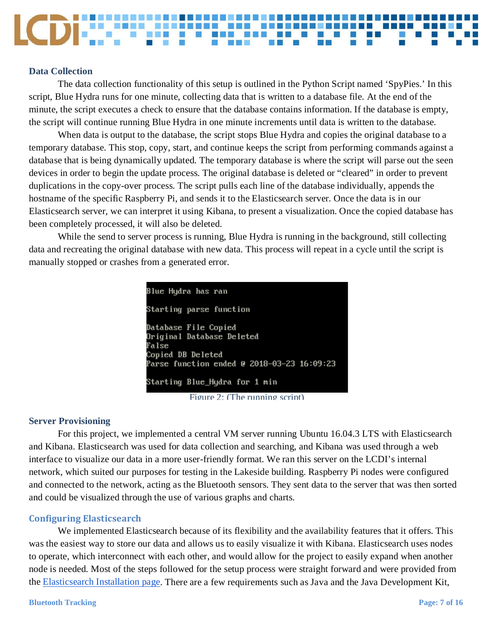#### <span id="page-7-0"></span>**Data Collection**

The data collection functionality of this setup is outlined in the Python Script named 'SpyPies.' In this script, Blue Hydra runs for one minute, collecting data that is written to a database file. At the end of the minute, the script executes a check to ensure that the database contains information. If the database is empty, the script will continue running Blue Hydra in one minute increments until data is written to the database.

When data is output to the database, the script stops Blue Hydra and copies the original database to a temporary database. This stop, copy, start, and continue keeps the script from performing commands against a database that is being dynamically updated. The temporary database is where the script will parse out the seen devices in order to begin the update process. The original database is deleted or "cleared" in order to prevent duplications in the copy-over process. The script pulls each line of the database individually, appends the hostname of the specific Raspberry Pi, and sends it to the Elasticsearch server. Once the data is in our Elasticsearch server, we can interpret it using Kibana, to present a visualization. Once the copied database has been completely processed, it will also be deleted.

While the send to server process is running, Blue Hydra is running in the background, still collecting data and recreating the original database with new data. This process will repeat in a cycle until the script is manually stopped or crashes from a generated error.

| Blue Hydra has ran                                                                                                            |
|-------------------------------------------------------------------------------------------------------------------------------|
| Starting parse function                                                                                                       |
| Database File Copied<br>Original Database Deleted<br>False<br>Copied DB Deleted<br>Parse function ended @ 2018-03-23 16:09:23 |
| Starting Blue_Hydra for 1 min                                                                                                 |

Figure  $2 \cdot$  (The running script)

#### <span id="page-7-1"></span>**Server Provisioning**

For this project, we implemented a central VM server running Ubuntu 16.04.3 LTS with Elasticsearch and Kibana. Elasticsearch was used for data collection and searching, and Kibana was used through a web interface to visualize our data in a more user-friendly format. We ran this server on the LCDI's internal network, which suited our purposes for testing in the Lakeside building. Raspberry Pi nodes were configured and connected to the network, acting as the Bluetooth sensors. They sent data to the server that was then sorted and could be visualized through the use of various graphs and charts.

#### <span id="page-7-2"></span>**Configuring Elasticsearch**

We implemented Elasticsearch because of its flexibility and the availability features that it offers. This was the easiest way to store our data and allows us to easily visualize it with Kibana. Elasticsearch uses nodes to operate, which interconnect with each other, and would allow for the project to easily expand when another node is needed. Most of the steps followed for the setup process were straight forward and were provided from the [Elasticsearch Installation page.](https://www.elastic.co/guide/en/elasticsearch/reference/current/_installation.html) There are a few requirements such as Java and the Java Development Kit,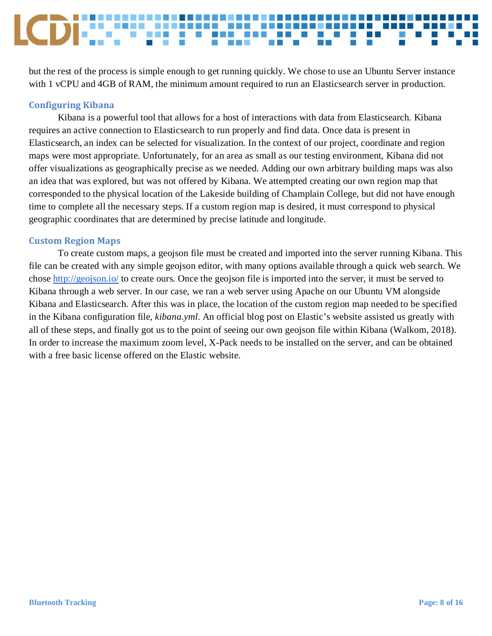## but the rest of the process is simple enough to get running quickly. We chose to use an Ubuntu Server instance with 1 vCPU and 4GB of RAM, the minimum amount required to run an Elasticsearch server in production.

#### <span id="page-8-0"></span>**Configuring Kibana**

Kibana is a powerful tool that allows for a host of interactions with data from Elasticsearch. Kibana requires an active connection to Elasticsearch to run properly and find data. Once data is present in Elasticsearch, an index can be selected for visualization. In the context of our project, coordinate and region maps were most appropriate. Unfortunately, for an area as small as our testing environment, Kibana did not offer visualizations as geographically precise as we needed. Adding our own arbitrary building maps was also an idea that was explored, but was not offered by Kibana. We attempted creating our own region map that corresponded to the physical location of the Lakeside building of Champlain College, but did not have enough time to complete all the necessary steps. If a custom region map is desired, it must correspond to physical geographic coordinates that are determined by precise latitude and longitude.

#### <span id="page-8-1"></span>**Custom Region Maps**

To create custom maps, a geojson file must be created and imported into the server running Kibana. This file can be created with any simple geojson editor, with many options available through a quick web search. We chose<http://geojson.io/> to create ours. Once the geojson file is imported into the server, it must be served to Kibana through a web server. In our case, we ran a web server using Apache on our Ubuntu VM alongside Kibana and Elasticsearch. After this was in place, the location of the custom region map needed to be specified in the Kibana configuration file, *kibana.yml*. An official blog post on Elastic's website assisted us greatly with all of these steps, and finally got us to the point of seeing our own geojson file within Kibana (Walkom, 2018). In order to increase the maximum zoom level, X-Pack needs to be installed on the server, and can be obtained with a free basic license offered on the Elastic website.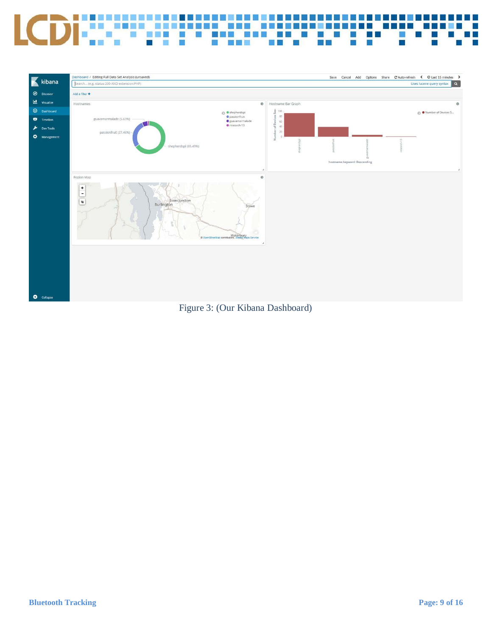



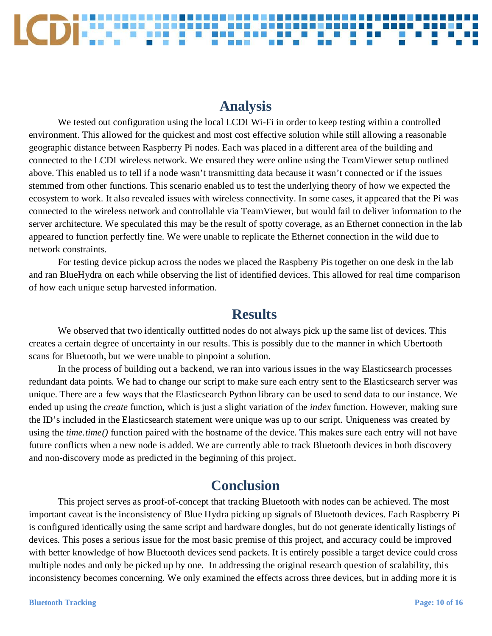

### **Analysis**

<span id="page-10-0"></span>We tested out configuration using the local LCDI Wi-Fi in order to keep testing within a controlled environment. This allowed for the quickest and most cost effective solution while still allowing a reasonable geographic distance between Raspberry Pi nodes. Each was placed in a different area of the building and connected to the LCDI wireless network. We ensured they were online using the TeamViewer setup outlined above. This enabled us to tell if a node wasn't transmitting data because it wasn't connected or if the issues stemmed from other functions. This scenario enabled us to test the underlying theory of how we expected the ecosystem to work. It also revealed issues with wireless connectivity. In some cases, it appeared that the Pi was connected to the wireless network and controllable via TeamViewer, but would fail to deliver information to the server architecture. We speculated this may be the result of spotty coverage, as an Ethernet connection in the lab appeared to function perfectly fine. We were unable to replicate the Ethernet connection in the wild due to network constraints.

For testing device pickup across the nodes we placed the Raspberry Pis together on one desk in the lab and ran BlueHydra on each while observing the list of identified devices. This allowed for real time comparison of how each unique setup harvested information.

#### **Results**

<span id="page-10-1"></span>We observed that two identically outfitted nodes do not always pick up the same list of devices. This creates a certain degree of uncertainty in our results. This is possibly due to the manner in which Ubertooth scans for Bluetooth, but we were unable to pinpoint a solution.

In the process of building out a backend, we ran into various issues in the way Elasticsearch processes redundant data points. We had to change our script to make sure each entry sent to the Elasticsearch server was unique. There are a few ways that the Elasticsearch Python library can be used to send data to our instance. We ended up using the *create* function, which is just a slight variation of the *index* function. However, making sure the ID's included in the Elasticsearch statement were unique was up to our script. Uniqueness was created by using the *time.time()* function paired with the hostname of the device. This makes sure each entry will not have future conflicts when a new node is added. We are currently able to track Bluetooth devices in both discovery and non-discovery mode as predicted in the beginning of this project.

#### **Conclusion**

<span id="page-10-2"></span>This project serves as proof-of-concept that tracking Bluetooth with nodes can be achieved. The most important caveat is the inconsistency of Blue Hydra picking up signals of Bluetooth devices. Each Raspberry Pi is configured identically using the same script and hardware dongles, but do not generate identically listings of devices. This poses a serious issue for the most basic premise of this project, and accuracy could be improved with better knowledge of how Bluetooth devices send packets. It is entirely possible a target device could cross multiple nodes and only be picked up by one. In addressing the original research question of scalability, this inconsistency becomes concerning. We only examined the effects across three devices, but in adding more it is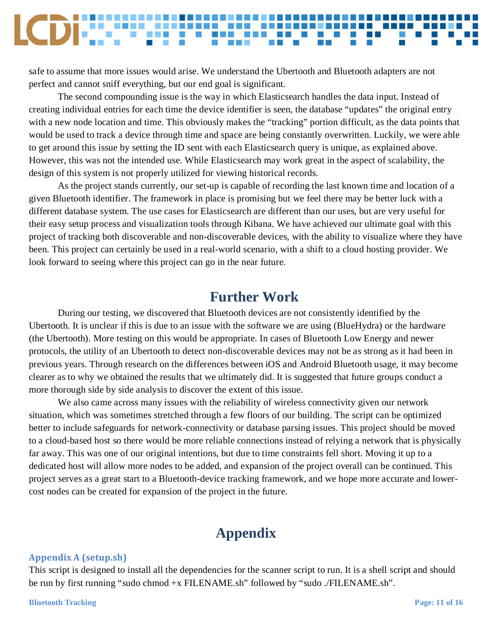

safe to assume that more issues would arise. We understand the Ubertooth and Bluetooth adapters are not perfect and cannot sniff everything, but our end goal is significant.

The second compounding issue is the way in which Elasticsearch handles the data input. Instead of creating individual entries for each time the device identifier is seen, the database "updates" the original entry with a new node location and time. This obviously makes the "tracking" portion difficult, as the data points that would be used to track a device through time and space are being constantly overwritten. Luckily, we were able to get around this issue by setting the ID sent with each Elasticsearch query is unique, as explained above. However, this was not the intended use. While Elasticsearch may work great in the aspect of scalability, the design of this system is not properly utilized for viewing historical records.

As the project stands currently, our set-up is capable of recording the last known time and location of a given Bluetooth identifier. The framework in place is promising but we feel there may be better luck with a different database system. The use cases for Elasticsearch are different than our uses, but are very useful for their easy setup process and visualization tools through Kibana. We have achieved our ultimate goal with this project of tracking both discoverable and non-discoverable devices, with the ability to visualize where they have been. This project can certainly be used in a real-world scenario, with a shift to a cloud hosting provider. We look forward to seeing where this project can go in the near future.

#### **Further Work**

<span id="page-11-0"></span>During our testing, we discovered that Bluetooth devices are not consistently identified by the Ubertooth. It is unclear if this is due to an issue with the software we are using (BlueHydra) or the hardware (the Ubertooth). More testing on this would be appropriate. In cases of Bluetooth Low Energy and newer protocols, the utility of an Ubertooth to detect non-discoverable devices may not be as strong as it had been in previous years. Through research on the differences between iOS and Android Bluetooth usage, it may become clearer as to why we obtained the results that we ultimately did. It is suggested that future groups conduct a more thorough side by side analysis to discover the extent of this issue.

We also came across many issues with the reliability of wireless connectivity given our network situation, which was sometimes stretched through a few floors of our building. The script can be optimized better to include safeguards for network-connectivity or database parsing issues. This project should be moved to a cloud-based host so there would be more reliable connections instead of relying a network that is physically far away. This was one of our original intentions, but due to time constraints fell short. Moving it up to a dedicated host will allow more nodes to be added, and expansion of the project overall can be continued. This project serves as a great start to a Bluetooth-device tracking framework, and we hope more accurate and lowercost nodes can be created for expansion of the project in the future.

### **Appendix**

#### <span id="page-11-2"></span><span id="page-11-1"></span>**Appendix A (setup.sh)**

This script is designed to install all the dependencies for the scanner script to run. It is a shell script and should be run by first running "sudo chmod +x FILENAME.sh" followed by "sudo ./FILENAME.sh".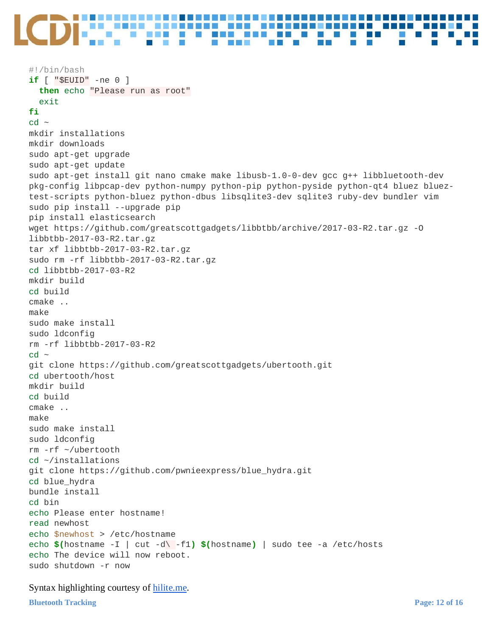## #!/bin/bash **if** [ "\$EUID" -ne 0 ] **then** echo "Please run as root"

#### exit

#### **fi**

 $cd \sim$ mkdir installations mkdir downloads sudo apt-get upgrade sudo apt-get update sudo apt-get install git nano cmake make libusb-1.0-0-dev gcc g++ libbluetooth-dev pkg-config libpcap-dev python-numpy python-pip python-pyside python-qt4 bluez blueztest-scripts python-bluez python-dbus libsqlite3-dev sqlite3 ruby-dev bundler vim sudo pip install --upgrade pip pip install elasticsearch wget https://github.com/greatscottgadgets/libbtbb/archive/2017-03-R2.tar.gz -O libbtbb-2017-03-R2.tar.gz tar xf libbtbb-2017-03-R2.tar.gz sudo rm -rf libbtbb-2017-03-R2.tar.gz cd libbtbb-2017-03-R2 mkdir build cd build cmake .. make sudo make install sudo ldconfig rm -rf libbtbb-2017-03-R2 cd  $\sim$ git clone https://github.com/greatscottgadgets/ubertooth.git cd ubertooth/host mkdir build cd build cmake .. make sudo make install sudo ldconfig rm -rf ~/ubertooth cd ~/installations git clone https://github.com/pwnieexpress/blue\_hydra.git cd blue\_hydra bundle install cd bin echo Please enter hostname! read newhost echo \$newhost > /etc/hostname echo **\$(**hostname -I | cut -d**\** -f1**) \$(**hostname**)** | sudo tee -a /etc/hosts echo The device will now reboot. sudo shutdown -r now

#### Syntax highlighting courtesy of [hilite.me.](http://hilite.me/)

**Bluetooth Tracking Page: 12 of 16** Page: 12 of 16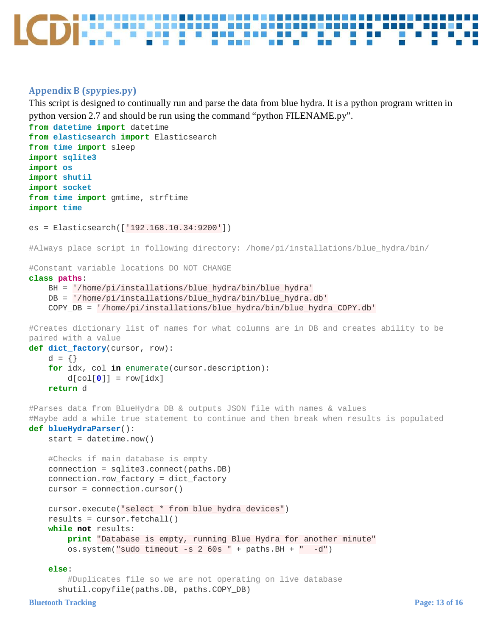

#### <span id="page-13-0"></span>**Appendix B (spypies.py)**

This script is designed to continually run and parse the data from blue hydra. It is a python program written in python version 2.7 and should be run using the command "python FILENAME.py".

```
from datetime import datetime
from elasticsearch import Elasticsearch
from time import sleep
import sqlite3
import os
import shutil
import socket
from time import gmtime, strftime
import time
es = Elasticsearch(['192.168.10.34:9200'])
#Always place script in following directory: /home/pi/installations/blue_hydra/bin/
#Constant variable locations DO NOT CHANGE
class paths:
     BH = '/home/pi/installations/blue_hydra/bin/blue_hydra'
     DB = '/home/pi/installations/blue_hydra/bin/blue_hydra.db'
     COPY_DB = '/home/pi/installations/blue_hydra/bin/blue_hydra_COPY.db'
#Creates dictionary list of names for what columns are in DB and creates ability to be 
paired with a value
def dict_factory(cursor, row):
   d = \{\} for idx, col in enumerate(cursor.description):
        d[col[0]] = row[idx] return d
#Parses data from BlueHydra DB & outputs JSON file with names & values
#Maybe add a while true statement to continue and then break when results is populated
def blueHydraParser():
   start = datetime.now() #Checks if main database is empty
     connection = sqlite3.connect(paths.DB)
     connection.row_factory = dict_factory
     cursor = connection.cursor()
     cursor.execute("select * from blue_hydra_devices")
     results = cursor.fetchall()
     while not results:
         print "Database is empty, running Blue Hydra for another minute"
         os.system("sudo timeout -s 2 60s " + paths.BH + " -d")
```

```
 else:
```
 #Duplicates file so we are not operating on live database shutil.copyfile(paths.DB, paths.COPY\_DB)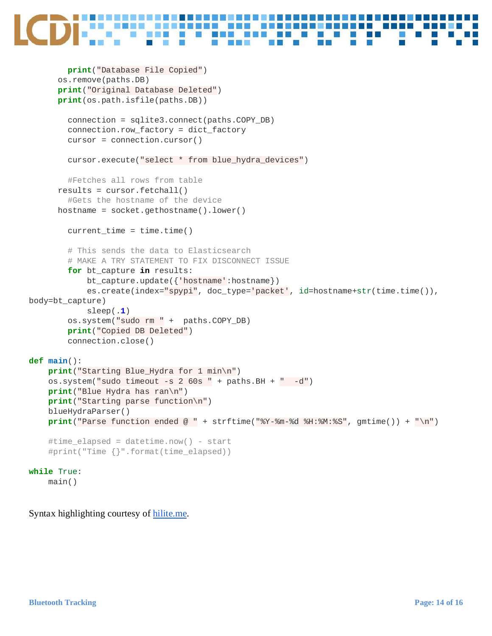

```
 print("Database File Copied")
      os.remove(paths.DB)
      print("Original Database Deleted")
      print(os.path.isfile(paths.DB))
         connection = sqlite3.connect(paths.COPY_DB)
         connection.row_factory = dict_factory
         cursor = connection.cursor()
         cursor.execute("select * from blue_hydra_devices")
         #Fetches all rows from table
       results = cursor.fetchall()
         #Gets the hostname of the device
       hostname = socket.gethostname().lower()
        current time = time.time() # This sends the data to Elasticsearch
         # MAKE A TRY STATEMENT TO FIX DISCONNECT ISSUE
        for bt capture in results:
             bt_capture.update({'hostname':hostname})
             es.create(index="spypi", doc_type='packet', id=hostname+str(time.time()), 
body=bt_capture)
             sleep(.1)
         os.system("sudo rm " + paths.COPY_DB)
         print("Copied DB Deleted")
         connection.close()
def main():
     print("Starting Blue_Hydra for 1 min\n")
     os.system("sudo timeout -s 2 60s " + paths.BH + " -d")
     print("Blue Hydra has ran\n")
     print("Starting parse function\n")
     blueHydraParser()
     print("Parse function ended @ " + strftime("%Y-%m-%d %H:%M:%S", gmtime()) + "\n")
     #time_elapsed = datetime.now() - start
     #print("Time {}".format(time_elapsed))
while True:
     main()
```
Syntax highlighting courtesy of [hilite.me.](http://hilite.me/)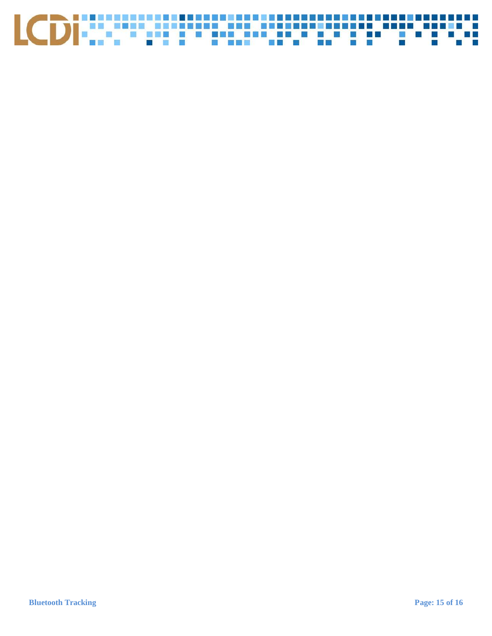